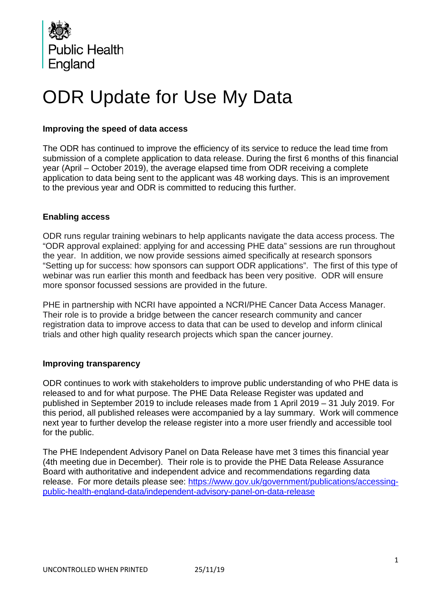

# ODR Update for Use My Data

### **Improving the speed of data access**

The ODR has continued to improve the efficiency of its service to reduce the lead time from submission of a complete application to data release. During the first 6 months of this financial year (April – October 2019), the average elapsed time from ODR receiving a complete application to data being sent to the applicant was 48 working days. This is an improvement to the previous year and ODR is committed to reducing this further.

#### **Enabling access**

ODR runs regular training webinars to help applicants navigate the data access process. The "ODR approval explained: applying for and accessing PHE data" sessions are run throughout the year. In addition, we now provide sessions aimed specifically at research sponsors "Setting up for success: how sponsors can support ODR applications". The first of this type of webinar was run earlier this month and feedback has been very positive. ODR will ensure more sponsor focussed sessions are provided in the future.

PHE in partnership with NCRI have appointed a NCRI/PHE Cancer Data Access Manager. Their role is to provide a bridge between the cancer research community and cancer registration data to improve access to data that can be used to develop and inform clinical trials and other high quality research projects which span the cancer journey.

#### **Improving transparency**

ODR continues to work with stakeholders to improve public understanding of who PHE data is released to and for what purpose. The PHE Data Release Register was updated and published in September 2019 to include releases made from 1 April 2019 – 31 July 2019. For this period, all published releases were accompanied by a lay summary. Work will commence next year to further develop the release register into a more user friendly and accessible tool for the public.

The PHE Independent Advisory Panel on Data Release have met 3 times this financial year (4th meeting due in December). Their role is to provide the PHE Data Release Assurance Board with authoritative and independent advice and recommendations regarding data release. For more details please see: [https://www.gov.uk/government/publications/accessing](https://www.gov.uk/government/publications/accessing-public-health-england-data/independent-advisory-panel-on-data-release)[public-health-england-data/independent-advisory-panel-on-data-release](https://www.gov.uk/government/publications/accessing-public-health-england-data/independent-advisory-panel-on-data-release)